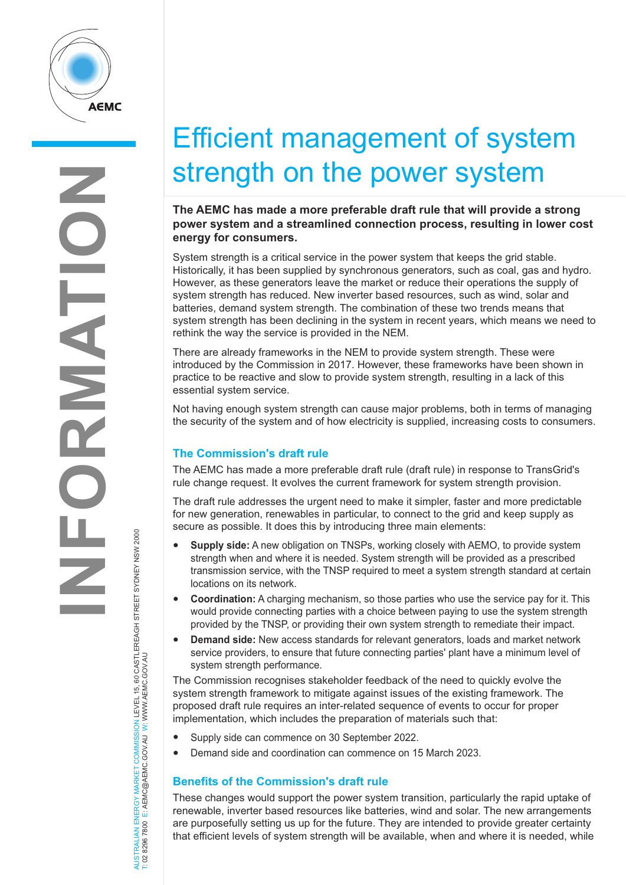

# Efficient management of system strength on the power system

## **The AEMC has made a more preferable draft rule that will provide a strong power system and a streamlined connection process, resulting in lower cost energy for consumers.**

System strength is a critical service in the power system that keeps the grid stable. Historically, it has been supplied by synchronous generators, such as coal, gas and hydro. However, as these generators leave the market or reduce their operations the supply of system strength has reduced. New inverter based resources, such as wind, solar and batteries, demand system strength. The combination of these two trends means that system strength has been declining in the system in recent years, which means we need to rethink the way the service is provided in the NEM.

There are already frameworks in the NEM to provide system strength. These were introduced by the Commission in 2017. However, these frameworks have been shown in practice to be reactive and slow to provide system strength, resulting in a lack of this essential system service.

Not having enough system strength can cause major problems, both in terms of managing the security of the system and of how electricity is supplied, increasing costs to consumers.

## **The Commission's draft rule**

The AEMC has made a more preferable draft rule (draft rule) in response to TransGrid's rule change request. It evolves the current framework for system strength provision.

The draft rule addresses the urgent need to make it simpler, faster and more predictable for new generation, renewables in particular, to connect to the grid and keep supply as secure as possible. It does this by introducing three main elements:

- **Supply side:** A new obligation on TNSPs, working closely with AEMO, to provide system strength when and where it is needed. System strength will be provided as a prescribed transmission service, with the TNSP required to meet a system strength standard at certain locations on its network.
- **Coordination:** A charging mechanism, so those parties who use the service pay for it. This would provide connecting parties with a choice between paying to use the system strength provided by the TNSP, or providing their own system strength to remediate their impact.
- **Demand side:** New access standards for relevant generators, loads and market network service providers, to ensure that future connecting parties' plant have a minimum level of system strength performance.

The Commission recognises stakeholder feedback of the need to quickly evolve the system strength framework to mitigate against issues of the existing framework. The proposed draft rule requires an inter-related sequence of events to occur for proper implementation, which includes the preparation of materials such that:

- Supply side can commence on 30 September 2022.
- Demand side and coordination can commence on 15 March 2023.

## **Benefits of the Commission's draft rule**

These changes would support the power system transition, particularly the rapid uptake of renewable, inverter based resources like batteries, wind and solar. The new arrangements are purposefully setting us up for the future. They are intended to provide greater certainty that efficient levels of system strength will be available, when and where it is needed, while

AUSTRALIAN ENERGY MARKET COMMISSION LEVEL 15, 60 CASTLEREAGH STREET SYDNEY NSW 2000<br>T: 02 8296 7800 E: AEMC@AEMC.GOV.AU W: WWW.AEMC.GOV.AU AUSTRALIAN ENERGY MARKET COMMISSION LEVEL 15, 60 CASTLEREAGH STREET SYDNEY NSW 2000 T: 02 8296 7800 E: AEMC@AEMC.GOV.AU W: WWW.AEMC.GOV.AU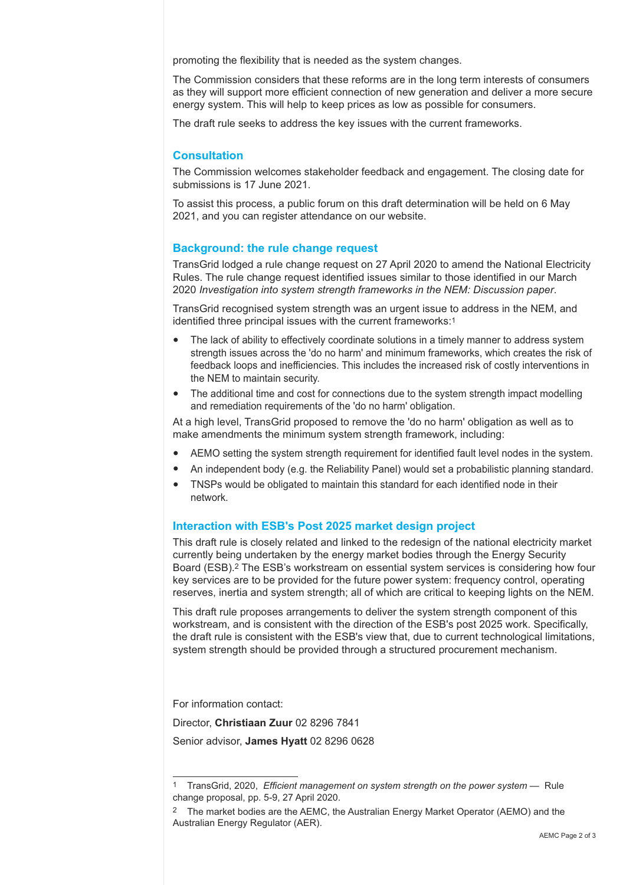promoting the flexibility that is needed as the system changes.

The Commission considers that these reforms are in the long term interests of consumers as they will support more efficient connection of new generation and deliver a more secure energy system. This will help to keep prices as low as possible for consumers.

The draft rule seeks to address the key issues with the current frameworks.

### **Consultation**

The Commission welcomes stakeholder feedback and engagement. The closing date for submissions is 17 June 2021.

To assist this process, a public forum on this draft determination will be held on 6 May 2021, and you can register attendance on our website.

### **Background: the rule change request**

TransGrid lodged a rule change request on 27 April 2020 to amend the National Electricity Rules. The rule change request identified issues similar to those identified in our March <sup>2020</sup>*Investigation into system strength frameworks in the NEM: Discussion paper*.

TransGrid recognised system strength was an urgent issue to address in the NEM, and identified three principal issues with the current frameworks:1

- The lack of ability to effectively coordinate solutions in a timely manner to address system strength issues across the 'do no harm' and minimum frameworks, which creates the risk of feedback loops and inefficiencies. This includes the increased risk of costly interventions in the NEM to maintain security.
- The additional time and cost for connections due to the system strength impact modelling and remediation requirements of the 'do no harm' obligation.

At a high level, TransGrid proposed to remove the 'do no harm' obligation as well as to make amendments the minimum system strength framework, including:

- AEMO setting the system strength requirement for identified fault level nodes in the system.
- An independent body (e.g. the Reliability Panel) would set a probabilistic planning standard.
- TNSPs would be obligated to maintain this standard for each identified node in their network.

#### **Interaction with ESB's Post 2025 market design project**

This draft rule is closely related and linked to the redesign of the national electricity market currently being undertaken by the energy market bodies through the Energy Security Board (ESB).2 The ESB's workstream on essential system services is considering how four key services are to be provided for the future power system: frequency control, operating reserves, inertia and system strength; all of which are critical to keeping lights on the NEM.

This draft rule proposes arrangements to deliver the system strength component of this workstream, and is consistent with the direction of the ESB's post 2025 work. Specifically, the draft rule is consistent with the ESB's view that, due to current technological limitations, system strength should be provided through a structured procurement mechanism.

For information contact:

Director, **Christiaan Zuur** 02 8296 7841

Senior advisor, **James Hyatt** 02 8296 0628

<sup>1</sup> TransGrid, 2020, *Efficient management on system strength on the power system —* Rule change proposal, pp. 5-9, 27 April 2020.

<sup>&</sup>lt;sup>2</sup> The market bodies are the AEMC, the Australian Energy Market Operator (AEMO) and the Australian Energy Regulator (AER).